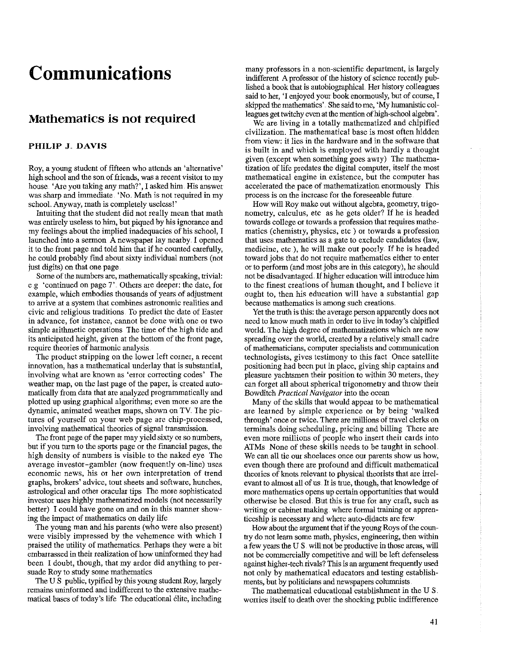## **Communications**

## **Mathematics is not required**

## **PHILIP J. DAVIS**

Roy, a young student of fifteen who attends an 'alternative' high school and the son of friends, was a recent visitor to my house. 'Are you taking any math?', I asked him. His answer was sharp and immediate. 'No. Math is not required in my school. Anyway, math is completely useless!'

Intuiting that the student did not really mean that math was entirely useless to him, but piqued by his ignorance and my feelings about the implied inadequacies of his school, I launched into a sermon A newspaper lay nearby. I opened it to the front page and told him that if he counted carefully, he could probably find about sixty individual numbers (not just digits) on that one page.

Some of the numbers are, mathematically speaking, trivial: e.g 'continued on page 7'. Others are deeper: the date, for example, which embodies thousands of years of adjustment **to arrive at a system that combines astronomic realities and**  civic and religious traditions. To predict the date of Easter **in advance, for instance, cannot be done with one or two**  simple arithmetic operations. The time of the high tide and its anticipated height, given at the bottom of the front page, **require theories of hatmonic analysis** 

The product stripping on the lower left corner, a recent innovation, has a mathematical underlay that is substantial, involving what are known as 'error correcting codes' The weather map, on the last page of the paper, is created automatically from data that are analyzed progrannnatically and plotted up using graphical algorithms; even more so are the dynamic, animated weather maps, shown on TV The pictures of yourself on your web page are chip-processed, involving mathematical theories of signal transmission.

The front page of the paper may yield sixty 01 so numbers, but if you turn to the sports page or the financial pages, the high density of numbers is visible to the naked eye The average investor-gambler (now frequently on-line) uses **economic news, his or her own interpretation of trend**  graphs, brokers' advice, tout sheets and software, hunches, astrological and other oracular tips The more sophisticated investor uses highly mathematized models (not necessarily better) I could have gone on and on in this manner showing the impact of mathematics on daily life

The young man and his parents (who were also present) were visibly impressed by the vehemence with which I praised the utility of mathematics. Perhaps they were a bit embarrassed in their realization of how uninformed they had been I doubt, though, that my ardor did anything to persuade Roy to study some mathematics

The U.S. public, typified by this young student Roy, largely **remains uninformed and indifferent to the extensive mathe**matical bases of today's life The educational élite, including many professors in a non-scientific department, is largely indifferent A professor of the history of science recently published a book that is autobiographical. Her history colleagues said to her, 'I enjoyed your book enormously, but of course, I skipped the mathematics' . She said to me, 'My humanistic colleagues get twitchy even at the mention of high-school algebra'.

We are living in a totally mathematized and chipified civilization. The mathematical base is most often hidden from view: it lies in the hardware and in the software that is built in and which is employed with hardly a thought given (except when something goes awry) The mathematization of life predates the digital computer, itself the most **mathematical engine in existence, but the computer has accelerated the pace of mathematization enotmously This**  process is on the increase for the foreseeable future

How will Roy make out without algebra, geometry, trigonometry, calculus, etc as he gets older? If he is headed towards college or towards a profession that requires mathematics (chemistry, physics, etc) or towards a profession that uses mathematics as a gate to exclude candidates (law, medicine, etc ), he will make out poorly.. If he is headed toward jobs that do not require mathematics either to enter or to perform (and most jobs are in this category), he should not be disadvantaged. If higher education will introduce him to the finest creations of human thought, and I believe it ought to, then his education will have a substantial gap **because mathematics is among such creations** 

Yet the truth is this: the average person apparently does not need to know much math in order to live in today's chipified world. The high degree of mathematizations which are now spreading over the world, created by a relatively small cadre **of mathematicians, computet specialists and communication**  technologists, gives testimony to this fact Once satellite positioning had been put in place, giving ship captains and pleasure yachtsmen their position to within 30 meters, they can forget all about spherical trigonometry and throw their Bowditch *Practical Navigator* into the ocean

Many of the skills that would appear to be mathematical are learned by simple experience or by being 'walked through' once or twice. There are millions of travel clerks on terminals doing scheduling, pricing and billing There are **even more millions of people who insert their cards into**  ATMs None of these skills needs to be taught in school **We can all tie out shoelaces once out parents show us how,**  even though there are profound and difficult mathematical theories of knots relevant to physical theorists that are irrelevant to almost all of us. It is true, though, that knowledge of more mathematics opens up certain opportunities that would otherwise be closed. But this is true for any craft, such as writing or cabinet making. where formal training or apprenticeship is necessary and where auto-didacts are few.

How about the argument that if the young Roys of the country do not learn some math, physics, engineering, then within a few years the U S. will not be productive in those areas, will not be commercially competitive and will be left defenseless against higher-tech rivals? This is an argument frequently used not only by mathematical educators and testing establishments, but by politicians and newspapers colunmists

The mathematical educational establishment in the U S. worries itself to death over the shocking public indifference